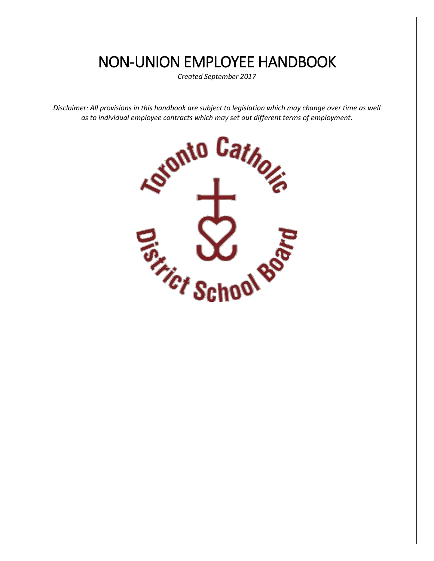# NON-UNION EMPLOYEE HANDBOOK

 *Created September 2017* 

 *as to individual employee contracts which may set out different terms of employment. Disclaimer: All provisions in this handbook are subject to legislation which may change over time as well* 

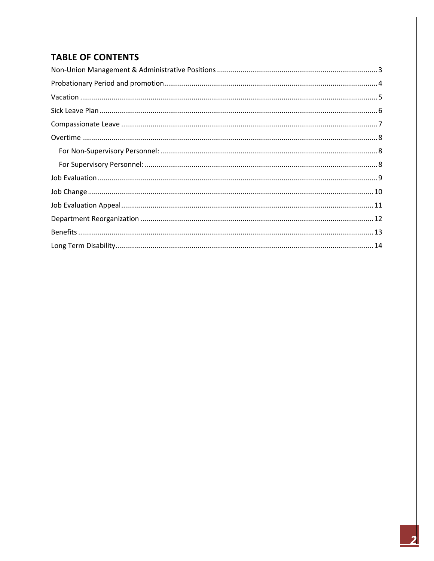## **TABLE OF CONTENTS**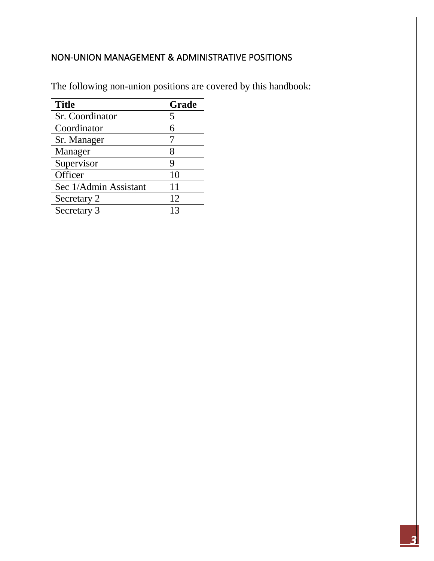## <span id="page-2-0"></span>NON-UNION MANAGEMENT & ADMINISTRATIVE POSITIONS

The following non-union positions are covered by this handbook:

| <b>Title</b>          | Grade |
|-----------------------|-------|
| Sr. Coordinator       | 5     |
| Coordinator           |       |
| Sr. Manager           |       |
| Manager               | 8     |
| Supervisor            | 9     |
| Officer               | 10    |
| Sec 1/Admin Assistant | 11    |
| Secretary 2           | 12    |
| Secretary 3           |       |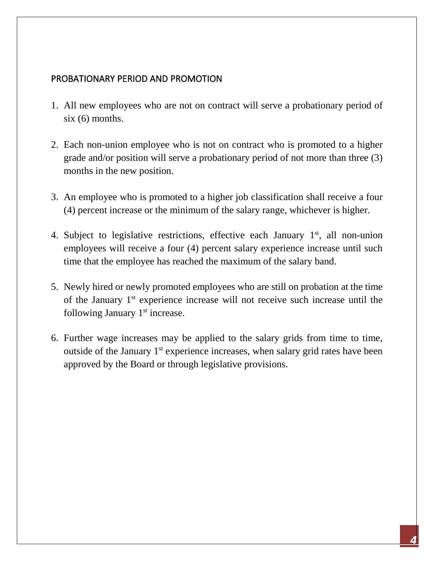## <span id="page-3-0"></span>PROBATIONARY PERIOD AND PROMOTION

- 1. All new employees who are not on contract will serve a probationary period of  $six(6)$  months.
- six (6) months. 2. Each non-union employee who is not on contract who is promoted to a higher months in the new position. grade and/or position will serve a probationary period of not more than three (3)
- months in the new position.<br>3. An employee who is promoted to a higher job classification shall receive a four (4) percent increase or the minimum of the salary range, whichever is higher.
- 4. Subject to legislative restrictions, effective each January  $1<sup>st</sup>$ , all non-union time that the employee has reached the maximum of the salary band. employees will receive a four (4) percent salary experience increase until such
- 5. Newly hired or newly promoted employees who are still on probation at the time of the January 1<sup>st</sup> experience increase will not receive such increase until the following January 1<sup>st</sup> increase.
- outside of the January 1<sup>st</sup> experience increases, when salary grid rates have been 6. Further wage increases may be applied to the salary grids from time to time, approved by the Board or through legislative provisions.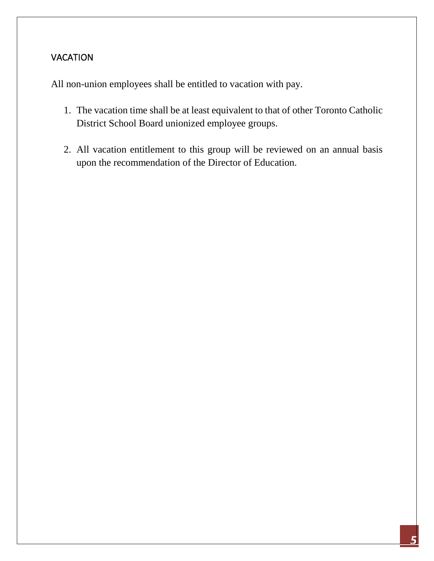## <span id="page-4-0"></span>**VACATION**

All non-union employees shall be entitled to vacation with pay.

- 1. The vacation time shall be at least equivalent to that of other Toronto Catholic District School Board unionized employee groups.
- upon the recommendation of the Director of Education. 2. All vacation entitlement to this group will be reviewed on an annual basis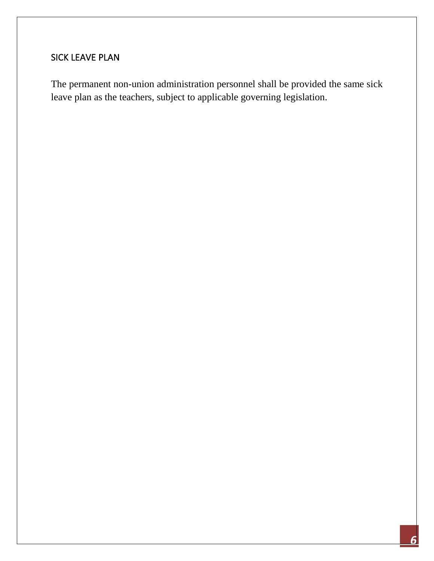## <span id="page-5-0"></span>SICK LEAVE PLAN

The permanent non-union administration personnel shall be provided the same sick leave plan as the teachers, subject to applicable governing legislation.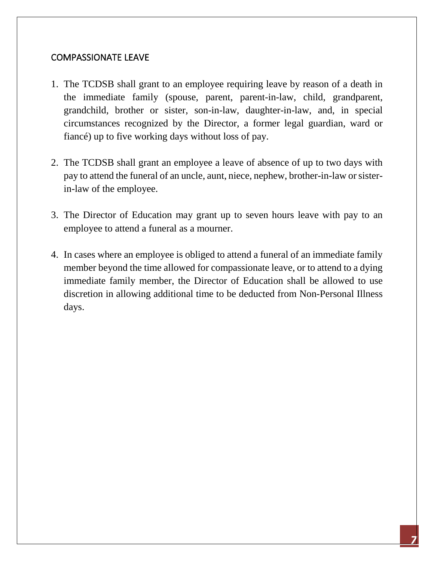#### <span id="page-6-0"></span>COMPASSIONATE LEAVE

- 1. The TCDSB shall grant to an employee requiring leave by reason of a death in the immediate family (spouse, parent, parent-in-law, child, grandparent, grandchild, brother or sister, son-in-law, daughter-in-law, and, in special circumstances recognized by the Director, a former legal guardian, ward or fiancé) up to five working days without loss of pay.
- pay to attend the funeral of an uncle, aunt, niece, nephew, brother-in-law or sister-2. The TCDSB shall grant an employee a leave of absence of up to two days with in-law of the employee.
- 3. The Director of Education may grant up to seven hours leave with pay to an employee to attend a funeral as a mourner.
- member beyond the time allowed for compassionate leave, or to attend to a dying discretion in allowing additional time to be deducted from Non-Personal Illness days. 4. In cases where an employee is obliged to attend a funeral of an immediate family immediate family member, the Director of Education shall be allowed to use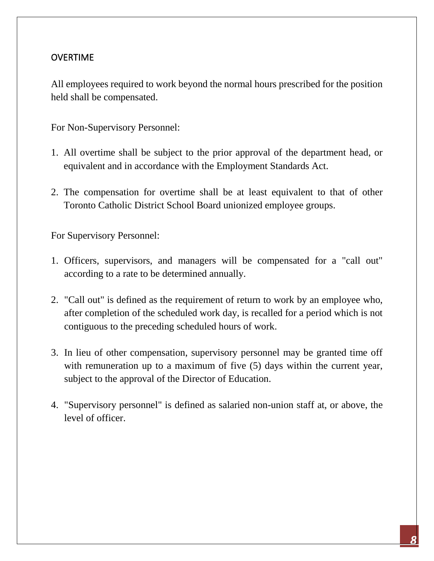## <span id="page-7-0"></span>OVERTIME

All employees required to work beyond the normal hours prescribed for the position held shall be compensated.

<span id="page-7-1"></span>For Non-Supervisory Personnel:

- 1. All overtime shall be subject to the prior approval of the department head, or equivalent and in accordance with the Employment Standards Act.
- 2. The compensation for overtime shall be at least equivalent to that of other Toronto Catholic District School Board unionized employee groups.

<span id="page-7-2"></span>For Supervisory Personnel:

- 1. Officers, supervisors, and managers will be compensated for a "call out" according to a rate to be determined annually.
- 2. "Call out" is defined as the requirement of return to work by an employee who, after completion of the scheduled work day, is recalled for a period which is not contiguous to the preceding scheduled hours of work.
- subject to the approval of the Director of Education. 3. In lieu of other compensation, supervisory personnel may be granted time off with remuneration up to a maximum of five  $(5)$  days within the current year,
- 4. "Supervisory personnel" is defined as salaried non-union staff at, or above, the level of officer.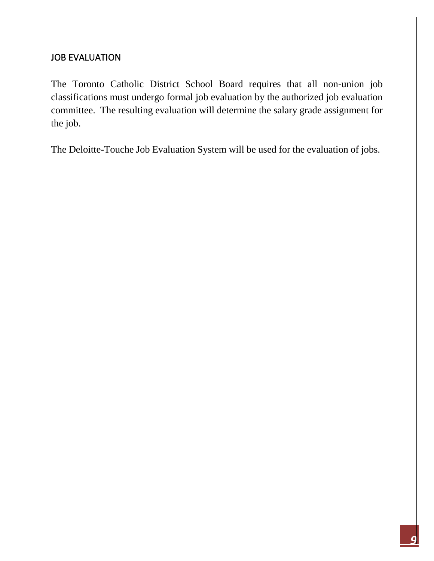#### <span id="page-8-0"></span>JOB EVALUATION

 committee. The resulting evaluation will determine the salary grade assignment for the job. The Toronto Catholic District School Board requires that all non-union job classifications must undergo formal job evaluation by the authorized job evaluation

the job.<br>The Deloitte-Touche Job Evaluation System will be used for the evaluation of jobs.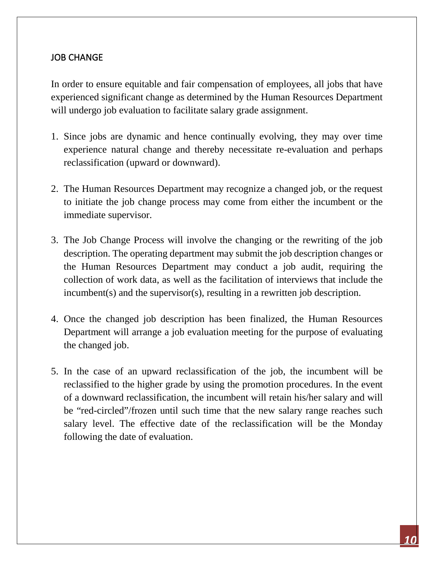## <span id="page-9-0"></span>JOB CHANGE

 In order to ensure equitable and fair compensation of employees, all jobs that have will undergo job evaluation to facilitate salary grade assignment. experienced significant change as determined by the Human Resources Department

- reclassification (upward or downward). 1. Since jobs are dynamic and hence continually evolving, they may over time experience natural change and thereby necessitate re-evaluation and perhaps
- to initiate the job change process may come from either the incumbent or the immediate supervisor. 2. The Human Resources Department may recognize a changed job, or the request
- the Human Resources Department may conduct a job audit, requiring the collection of work data, as well as the facilitation of interviews that include the incumbent(s) and the supervisor(s), resulting in a rewritten job description. 3. The Job Change Process will involve the changing or the rewriting of the job description. The operating department may submit the job description changes or
- Department will arrange a job evaluation meeting for the purpose of evaluating the changed job. 4. Once the changed job description has been finalized, the Human Resources
- the changed job.<br>5. In the case of an upward reclassification of the job, the incumbent will be reclassified to the higher grade by using the promotion procedures. In the event of a downward reclassification, the incumbent will retain his/her salary and will be "red-circled"/frozen until such time that the new salary range reaches such salary level. The effective date of the reclassification will be the Monday following the date of evaluation.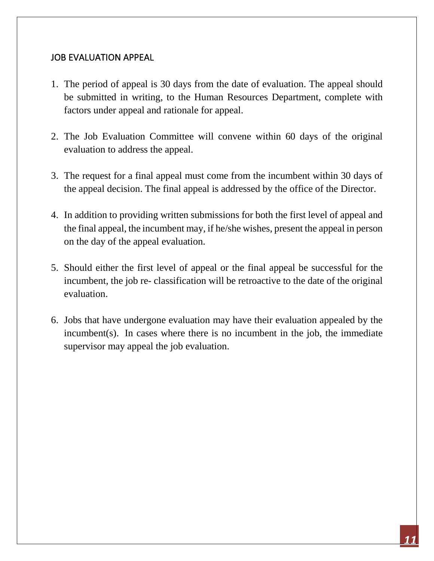#### <span id="page-10-0"></span>JOB EVALUATION APPEAL

- 1. The period of appeal is 30 days from the date of evaluation. The appeal should be submitted in writing, to the Human Resources Department, complete with factors under appeal and rationale for appeal.
- 2. The Job Evaluation Committee will convene within 60 days of the original evaluation to address the appeal.
- 3. The request for a final appeal must come from the incumbent within 30 days of the appeal decision. The final appeal is addressed by the office of the Director.
- on the day of the appeal evaluation. 4. In addition to providing written submissions for both the first level of appeal and the final appeal, the incumbent may, if he/she wishes, present the appeal in person
- incumbent, the job re- classification will be retroactive to the date of the original 5. Should either the first level of appeal or the final appeal be successful for the evaluation.
- 6. Jobs that have undergone evaluation may have their evaluation appealed by the incumbent(s). In cases where there is no incumbent in the job, the immediate supervisor may appeal the job evaluation.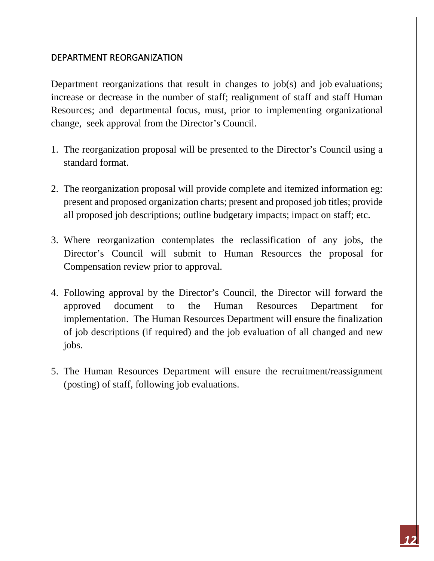#### <span id="page-11-0"></span>DEPARTMENT REORGANIZATION

 increase or decrease in the number of staff; realignment of staff and staff Human Resources; and departmental focus, must, prior to implementing organizational change, seek approval from the Director's Council. Department reorganizations that result in changes to job(s) and job evaluations;

- standard format. 1. The reorganization proposal will be presented to the Director's Council using a
- all proposed job descriptions; outline budgetary impacts; impact on staff; etc. 2. The reorganization proposal will provide complete and itemized information eg: present and proposed organization charts; present and proposed job titles; provide
- 3. Where reorganization contemplates the reclassification of any jobs, the Director's Council will submit to Human Resources the proposal for Compensation review prior to approval.
- jobs. 4. Following approval by the Director's Council, the Director will forward the approved document to the Human Resources Department for implementation. The Human Resources Department will ensure the finalization of job descriptions (if required) and the job evaluation of all changed and new
- 5. The Human Resources Department will ensure the recruitment/reassignment (posting) of staff, following job evaluations.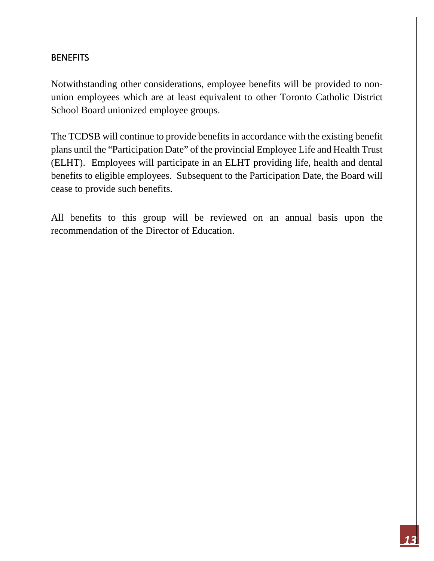#### <span id="page-12-0"></span>BENEFITS

 union employees which are at least equivalent to other Toronto Catholic District School Board unionized employee groups. Notwithstanding other considerations, employee benefits will be provided to non-

School Board unionized employee groups.<br>The TCDSB will continue to provide benefits in accordance with the existing benefit plans until the "Participation Date" of the provincial Employee Life and Health Trust (ELHT). Employees will participate in an ELHT providing life, health and dental benefits to eligible employees. Subsequent to the Participation Date, the Board will cease to provide such benefits.

 All benefits to this group will be reviewed on an annual basis upon the recommendation of the Director of Education.